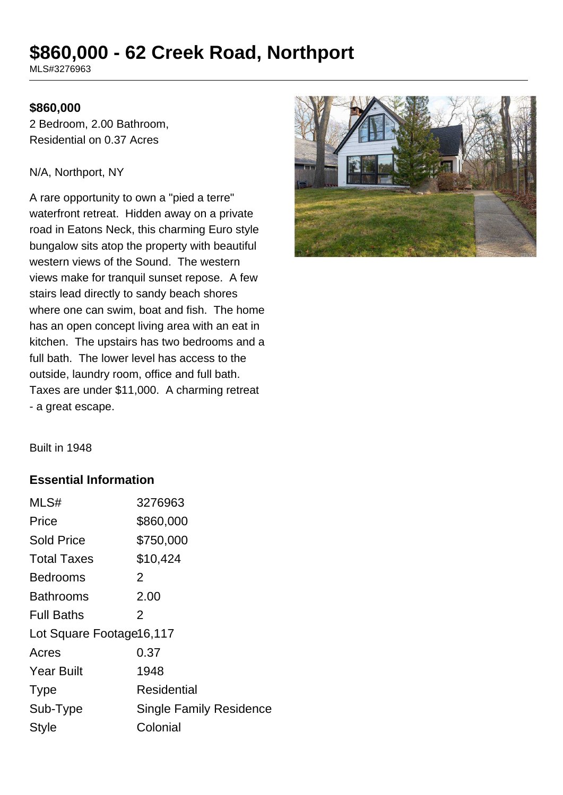# **\$860,000 - 62 Creek Road, Northport**

MLS#3276963

#### **\$860,000**

2 Bedroom, 2.00 Bathroom, Residential on 0.37 Acres

#### N/A, Northport, NY

A rare opportunity to own a "pied a terre" waterfront retreat. Hidden away on a private road in Eatons Neck, this charming Euro style bungalow sits atop the property with beautiful western views of the Sound. The western views make for tranquil sunset repose. A few stairs lead directly to sandy beach shores where one can swim, boat and fish. The home has an open concept living area with an eat in kitchen. The upstairs has two bedrooms and a full bath. The lower level has access to the outside, laundry room, office and full bath. Taxes are under \$11,000. A charming retreat - a great escape.



Built in 1948

### **Essential Information**

| MLS#                     | 3276963                        |  |
|--------------------------|--------------------------------|--|
| Price                    | \$860,000                      |  |
| <b>Sold Price</b>        | \$750,000                      |  |
| <b>Total Taxes</b>       | \$10,424                       |  |
| <b>Bedrooms</b>          | 2                              |  |
| <b>Bathrooms</b>         | 2.00                           |  |
| <b>Full Baths</b>        | 2                              |  |
| Lot Square Footage16,117 |                                |  |
| Acres                    | 0.37                           |  |
| <b>Year Built</b>        | 1948                           |  |
| <b>Type</b>              | Residential                    |  |
| Sub-Type                 | <b>Single Family Residence</b> |  |
| <b>Style</b>             | Colonial                       |  |
|                          |                                |  |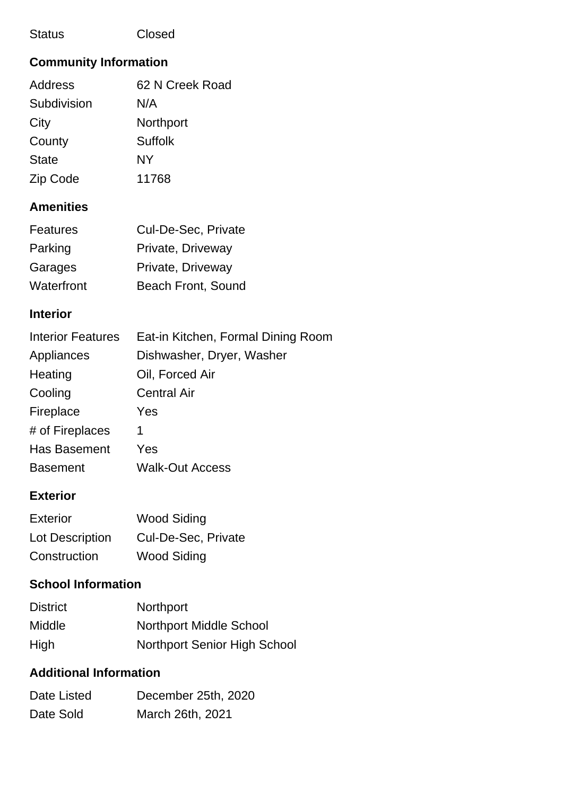### Status Closed

# **Community Information**

| <b>Address</b> | 62 N Creek Road |
|----------------|-----------------|
| Subdivision    | N/A             |
| City           | Northport       |
| County         | <b>Suffolk</b>  |
| <b>State</b>   | NY              |
| Zip Code       | 11768           |

# **Amenities**

| <b>Features</b> | Cul-De-Sec, Private |
|-----------------|---------------------|
| Parking         | Private, Driveway   |
| Garages         | Private, Driveway   |
| Waterfront      | Beach Front, Sound  |

### **Interior**

| <b>Interior Features</b> | Eat-in Kitchen, Formal Dining Room |
|--------------------------|------------------------------------|
| Appliances               | Dishwasher, Dryer, Washer          |
| Heating                  | Oil, Forced Air                    |
| Cooling                  | <b>Central Air</b>                 |
| Fireplace                | Yes                                |
| # of Fireplaces          | 1                                  |
| <b>Has Basement</b>      | Yes                                |
| <b>Basement</b>          | <b>Walk-Out Access</b>             |

### **Exterior**

| Exterior        | <b>Wood Siding</b>  |  |
|-----------------|---------------------|--|
| Lot Description | Cul-De-Sec, Private |  |
| Construction    | Wood Siding         |  |

## **School Information**

| <b>District</b> | <b>Northport</b>                    |
|-----------------|-------------------------------------|
| <b>Middle</b>   | <b>Northport Middle School</b>      |
| High            | <b>Northport Senior High School</b> |

# **Additional Information**

| Date Listed | December 25th, 2020 |
|-------------|---------------------|
| Date Sold   | March 26th, 2021    |